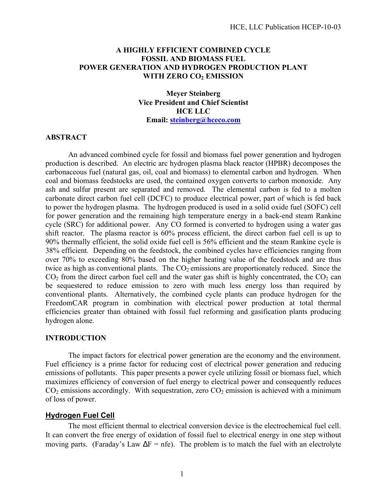## **A HIGHLY EFFICIENT COMBINED CYCLE FOSSIL AND BIOMASS FUEL POWER GENERATION AND HYDROGEN PRODUCTION PLANT WITH ZERO CO2 EMISSION**

**Meyer Steinberg Vice President and Chief Scientist HCE LLC Email: steinberg@hceco.com**

#### **ABSTRACT**

An advanced combined cycle for fossil and biomass fuel power generation and hydrogen production is described. An electric arc hydrogen plasma black reactor (HPBR) decomposes the carbonaceous fuel (natural gas, oil, coal and biomass) to elemental carbon and hydrogen. When coal and biomass feedstocks are used, the contained oxygen converts to carbon monoxide. Any ash and sulfur present are separated and removed. The elemental carbon is fed to a molten carbonate direct carbon fuel cell (DCFC) to produce electrical power, part of which is fed back to power the hydrogen plasma. The hydrogen produced is used in a solid oxide fuel (SOFC) cell for power generation and the remaining high temperature energy in a back-end steam Rankine cycle (SRC) for additional power. Any CO formed is converted to hydrogen using a water gas shift reactor. The plasma reactor is 60% process efficient, the direct carbon fuel cell is up to 90% thermally efficient, the solid oxide fuel cell is 56% efficient and the steam Rankine cycle is 38% efficient. Depending on the feedstock, the combined cycles have efficiencies ranging from over 70% to exceeding 80% based on the higher heating value of the feedstock and are thus twice as high as conventional plants. The  $CO<sub>2</sub>$  emissions are proportionately reduced. Since the  $CO<sub>2</sub>$  from the direct carbon fuel cell and the water gas shift is highly concentrated, the  $CO<sub>2</sub>$  can be sequestered to reduce emission to zero with much less energy loss than required by conventional plants. Alternatively, the combined cycle plants can produce hydrogen for the FreedomCAR program in combination with electrical power production at total thermal efficiencies greater than obtained with fossil fuel reforming and gasification plants producing hydrogen alone.

#### **INTRODUCTION**

The impact factors for electrical power generation are the economy and the environment. Fuel efficiency is a prime factor for reducing cost of electrical power generation and reducing emissions of pollutants. This paper presents a power cycle utilizing fossil or biomass fuel, which maximizes efficiency of conversion of fuel energy to electrical power and consequently reduces  $CO<sub>2</sub>$  emissions accordingly. With sequestration, zero  $CO<sub>2</sub>$  emission is achieved with a minimum of loss of power.

#### **Hydrogen Fuel Cell**

The most efficient thermal to electrical conversion device is the electrochemical fuel cell. It can convert the free energy of oxidation of fossil fuel to electrical energy in one step without moving parts. (Faraday's Law  $\Delta F = nfe$ ). The problem is to match the fuel with an electrolyte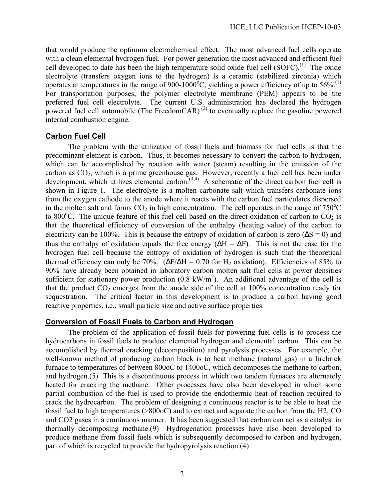that would produce the optimum electrochemical effect. The most advanced fuel cells operate with a clean elemental hydrogen fuel. For power generation the most advanced and efficient fuel cell developed to date has been the high temperature solid oxide fuel cell  $(SOFC)$ .<sup>(1)</sup> The oxide electrolyte (transfers oxygen ions to the hydrogen) is a ceramic (stabilized zirconia) which operates at temperatures in the range of 900-1000 $^{\circ}$ C, yielding a power efficiency of up to 56%.<sup>(1)</sup> For transportation purposes, the polymer electrolyte membrane (PEM) appears to be the preferred fuel cell electrolyte. The current U.S. administration has declared the hydrogen powered fuel cell automobile (The FreedomCAR) (2) to eventually replace the gasoline powered internal combustion engine.

## **Carbon Fuel Cell**

The problem with the utilization of fossil fuels and biomass for fuel cells is that the predominant element is carbon. Thus, it becomes necessary to convert the carbon to hydrogen, which can be accomplished by reaction with water (steam) resulting in the emission of the carbon as  $CO<sub>2</sub>$ , which is a prime greenhouse gas. However, recently a fuel cell has been under development, which utilizes elemental carbon.<sup> $(3,4)$ </sup> A schematic of the direct carbon fuel cell is shown in Figure 1. The electrolyte is a molten carbonate salt which transfers carbonate ions from the oxygen cathode to the anode where it reacts with the carbon fuel particulates dispersed in the molten salt and forms  $CO<sub>2</sub>$  in high concentration. The cell operates in the range of 750<sup>o</sup>C to 800 $^{\circ}$ C. The unique feature of this fuel cell based on the direct oxidation of carbon to CO<sub>2</sub> is that the theoretical efficiency of conversion of the enthalpy (heating value) of the carbon to electricity can be 100%. This is because the entropy of oxidation of carbon is zero ( $\Delta S = 0$ ) and thus the enthalpy of oxidation equals the free energy ( $\Delta H = \Delta F$ ). This is not the case for the hydrogen fuel cell because the entropy of oxidation of hydrogen is such that the theoretical thermal efficiency can only be 70%. ( $\Delta$ F/ $\Delta$ H = 0.70 for H<sub>2</sub> oxidation). Efficiencies of 85% to 90% have already been obtained in laboratory carbon molten salt fuel cells at power densities sufficient for stationary power production  $(0.8 \text{ kW/m}^2)$ . An additional advantage of the cell is that the product  $CO_2$  emerges from the anode side of the cell at 100% concentration ready for sequestration. The critical factor in this development is to produce a carbon having good reactive properties, i.e., small particle size and active surface properties.

#### **Conversion of Fossil Fuels to Carbon and Hydrogen**

The problem of the application of fossil fuels for powering fuel cells is to process the hydrocarbons in fossil fuels to produce elemental hydrogen and elemental carbon. This can be accomplished by thermal cracking (decomposition) and pyrolysis processes. For example, the well-known method of producing carbon black is to heat methane (natural gas) in a firebrick furnace to temperatures of between 800oC to 1400oC, which decomposes the methane to carbon, and hydrogen.(5) This is a discontinuous process in which two tandem furnaces are alternately heated for cracking the methane. Other processes have also been developed in which some partial combustion of the fuel is used to provide the endothermic heat of reaction required to crack the hydrocarbon. The problem of designing a continuous reactor is to be able to heat the fossil fuel to high temperatures (>800oC) and to extract and separate the carbon from the H2, CO and CO2 gases in a continuous manner. It has been suggested that carbon can act as a catalyst in thermally decomposing methane.(9) Hydrogenation processes have also been developed to produce methane from fossil fuels which is subsequently decomposed to carbon and hydrogen, part of which is recycled to provide the hydropyrolysis reaction.(4)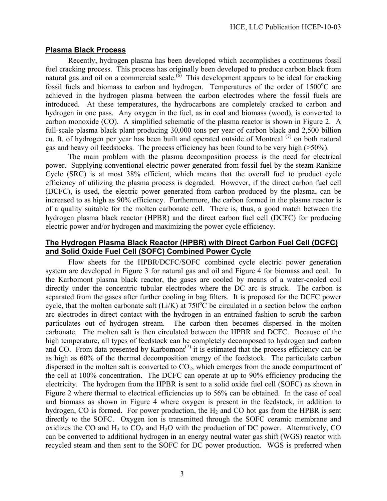## **Plasma Black Process**

Recently, hydrogen plasma has been developed which accomplishes a continuous fossil fuel cracking process. This process has originally been developed to produce carbon black from natural gas and oil on a commercial scale.<sup> $(6)$ </sup> This development appears to be ideal for cracking fossil fuels and biomass to carbon and hydrogen. Temperatures of the order of  $1500^{\circ}$ C are achieved in the hydrogen plasma between the carbon electrodes where the fossil fuels are introduced. At these temperatures, the hydrocarbons are completely cracked to carbon and hydrogen in one pass. Any oxygen in the fuel, as in coal and biomass (wood), is converted to carbon monoxide (CO). A simplified schematic of the plasma reactor is shown in Figure 2. A full-scale plasma black plant producing 30,000 tons per year of carbon black and 2,500 billion cu. ft. of hydrogen per year has been built and operated outside of Montreal (7) on both natural gas and heavy oil feedstocks. The process efficiency has been found to be very high (>50%).

The main problem with the plasma decomposition process is the need for electrical power. Supplying conventional electric power generated from fossil fuel by the steam Rankine Cycle (SRC) is at most 38% efficient, which means that the overall fuel to product cycle efficiency of utilizing the plasma process is degraded. However, if the direct carbon fuel cell (DCFC), is used, the electric power generated from carbon produced by the plasma, can be increased to as high as 90% efficiency. Furthermore, the carbon formed in the plasma reactor is of a quality suitable for the molten carbonate cell. There is, thus, a good match between the hydrogen plasma black reactor (HPBR) and the direct carbon fuel cell (DCFC) for producing electric power and/or hydrogen and maximizing the power cycle efficiency.

## **The Hydrogen Plasma Black Reactor (HPBR) with Direct Carbon Fuel Cell (DCFC) and Solid Oxide Fuel Cell (SOFC) Combined Power Cycle**

Flow sheets for the HPBR/DCFC/SOFC combined cycle electric power generation system are developed in Figure 3 for natural gas and oil and Figure 4 for biomass and coal. In the Karbomont plasma black reactor, the gases are cooled by means of a water-cooled coil directly under the concentric tubular electrodes where the DC arc is struck. The carbon is separated from the gases after further cooling in bag filters. It is proposed for the DCFC power cycle, that the molten carbonate salt  $(Li/K)$  at 750 $^{\circ}$ C be circulated in a section below the carbon arc electrodes in direct contact with the hydrogen in an entrained fashion to scrub the carbon particulates out of hydrogen stream. The carbon then becomes dispersed in the molten carbonate. The molten salt is then circulated between the HPBR and DCFC. Because of the high temperature, all types of feedstock can be completely decomposed to hydrogen and carbon and CO. From data presented by Karbomont<sup> $(7)$ </sup> it is estimated that the process efficiency can be as high as 60% of the thermal decomposition energy of the feedstock. The particulate carbon dispersed in the molten salt is converted to  $CO<sub>2</sub>$ , which emerges from the anode compartment of the cell at 100% concentration. The DCFC can operate at up to 90% efficiency producing the electricity. The hydrogen from the HPBR is sent to a solid oxide fuel cell (SOFC) as shown in Figure 2 where thermal to electrical efficiencies up to 56% can be obtained. In the case of coal and biomass as shown in Figure 4 where oxygen is present in the feedstock, in addition to hydrogen, CO is formed. For power production, the  $H_2$  and CO hot gas from the HPBR is sent directly to the SOFC. Oxygen ion is transmitted through the SOFC ceramic membrane and oxidizes the CO and  $H_2$  to  $CO_2$  and  $H_2O$  with the production of DC power. Alternatively, CO can be converted to additional hydrogen in an energy neutral water gas shift (WGS) reactor with recycled steam and then sent to the SOFC for DC power production. WGS is preferred when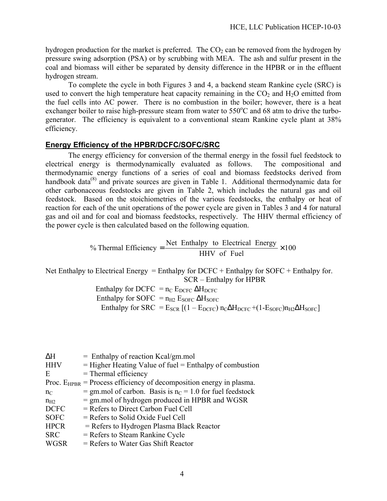hydrogen production for the market is preferred. The  $CO<sub>2</sub>$  can be removed from the hydrogen by pressure swing adsorption (PSA) or by scrubbing with MEA. The ash and sulfur present in the coal and biomass will either be separated by density difference in the HPBR or in the effluent hydrogen stream.

To complete the cycle in both Figures 3 and 4, a backend steam Rankine cycle (SRC) is used to convert the high temperature heat capacity remaining in the  $CO<sub>2</sub>$  and  $H<sub>2</sub>O$  emitted from the fuel cells into AC power. There is no combustion in the boiler; however, there is a heat exchanger boiler to raise high-pressure steam from water to  $550^{\circ}$ C and 68 atm to drive the turbogenerator. The efficiency is equivalent to a conventional steam Rankine cycle plant at 38% efficiency.

## **Energy Efficiency of the HPBR/DCFC/SOFC/SRC**

The energy efficiency for conversion of the thermal energy in the fossil fuel feedstock to electrical energy is thermodynamically evaluated as follows. The compositional and thermodynamic energy functions of a series of coal and biomass feedstocks derived from handbook data<sup>(8)</sup> and private sources are given in Table 1. Additional thermodynamic data for other carbonaceous feedstocks are given in Table 2, which includes the natural gas and oil feedstock. Based on the stoichiometries of the various feedstocks, the enthalpy or heat of reaction for each of the unit operations of the power cycle are given in Tables 3 and 4 for natural gas and oil and for coal and biomass feedstocks, respectively. The HHV thermal efficiency of the power cycle is then calculated based on the following equation.

> % Thermal Efficiency =  $\frac{\text{Net Enthalpy to Electrical Energy}}{\text{NWL of P.}} \times 100$ HHV of Fuel

Net Enthalpy to Electrical Energy = Enthalpy for  $DCFC + Enthalpy$  for  $SOFC + Enthalpy$  for. SCR – Enthalpy for HPBR

> Enthalpy for DCFC =  $n_C$  E<sub>DCFC</sub>  $\Delta H_{DCFC}$ Enthalpy for SOFC =  $n_{H2}$  E<sub>SOFC</sub>  $\Delta H_{SOFC}$ Enthalpy for  $SRC = E_{SCR} [(1 - E_{DCF}) n_C \Delta H_{DCFC} + (1 - E_{SOFC}) n_{H2} \Delta H_{SOFC}]$

| ΔH          | $=$ Enthalpy of reaction Kcal/gm.mol                                     |
|-------------|--------------------------------------------------------------------------|
| <b>HHV</b>  | $=$ Higher Heating Value of fuel $=$ Enthalpy of combustion              |
| E           | $=$ Thermal efficiency                                                   |
|             | Proc. $E_{HPBR}$ = Process efficiency of decomposition energy in plasma. |
| $n_{C}$     | = gm.mol of carbon. Basis is $n_C$ = 1.0 for fuel feedstock              |
| $n_{H2}$    | $=$ gm, mol of hydrogen produced in HPBR and WGSR                        |
| <b>DCFC</b> | $=$ Refers to Direct Carbon Fuel Cell                                    |
| <b>SOFC</b> | $=$ Refers to Solid Oxide Fuel Cell                                      |
| <b>HPCR</b> | $=$ Refers to Hydrogen Plasma Black Reactor                              |
| <b>SRC</b>  | $=$ Refers to Steam Rankine Cycle                                        |
| <b>WGSR</b> | $=$ Refers to Water Gas Shift Reactor                                    |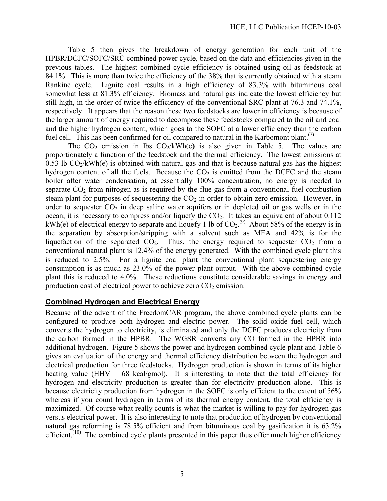Table 5 then gives the breakdown of energy generation for each unit of the HPBR/DCFC/SOFC/SRC combined power cycle, based on the data and efficiencies given in the previous tables. The highest combined cycle efficiency is obtained using oil as feedstock at 84.1%. This is more than twice the efficiency of the 38% that is currently obtained with a steam Rankine cycle. Lignite coal results in a high efficiency of 83.3% with bituminous coal somewhat less at 81.3% efficiency. Biomass and natural gas indicate the lowest efficiency but still high, in the order of twice the efficiency of the conventional SRC plant at 76.3 and 74.1%, respectively. It appears that the reason these two feedstocks are lower in efficiency is because of the larger amount of energy required to decompose these feedstocks compared to the oil and coal and the higher hydrogen content, which goes to the SOFC at a lower efficiency than the carbon fuel cell. This has been confirmed for oil compared to natural in the Karbomont plant.<sup>(7)</sup>

The  $CO_2$  emission in lbs  $CO_2/kWh(e)$  is also given in Table 5. The values are proportionately a function of the feedstock and the thermal efficiency. The lowest emissions at 0.53 lb  $CO<sub>2</sub>/kWh(e)$  is obtained with natural gas and that is because natural gas has the highest hydrogen content of all the fuels. Because the  $CO<sub>2</sub>$  is emitted from the DCFC and the steam boiler after water condensation, at essentially 100% concentration, no energy is needed to separate  $CO<sub>2</sub>$  from nitrogen as is required by the flue gas from a conventional fuel combustion steam plant for purposes of sequestering the  $CO<sub>2</sub>$  in order to obtain zero emission. However, in order to sequester  $CO<sub>2</sub>$  in deep saline water aquifers or in depleted oil or gas wells or in the ocean, it is necessary to compress and/or liquefy the  $CO<sub>2</sub>$ . It takes an equivalent of about 0.112 kWh(e) of electrical energy to separate and liquefy 1 lb of  $CO_2$ .<sup>(9)</sup> About 58% of the energy is in the separation by absorption/stripping with a solvent such as MEA and 42% is for the liquefaction of the separated  $CO<sub>2</sub>$ . Thus, the energy required to sequester  $CO<sub>2</sub>$  from a conventional natural plant is 12.4% of the energy generated. With the combined cycle plant this is reduced to 2.5%. For a lignite coal plant the conventional plant sequestering energy consumption is as much as 23.0% of the power plant output. With the above combined cycle plant this is reduced to 4.0%. These reductions constitute considerable savings in energy and production cost of electrical power to achieve zero  $CO<sub>2</sub>$  emission.

## **Combined Hydrogen and Electrical Energy**

Because of the advent of the FreedomCAR program, the above combined cycle plants can be configured to produce both hydrogen and electric power. The solid oxide fuel cell, which converts the hydrogen to electricity, is eliminated and only the DCFC produces electricity from the carbon formed in the HPBR. The WGSR converts any CO formed in the HPBR into additional hydrogen. Figure 5 shows the power and hydrogen combined cycle plant and Table 6 gives an evaluation of the energy and thermal efficiency distribution between the hydrogen and electrical production for three feedstocks. Hydrogen production is shown in terms of its higher heating value (HHV =  $68 \text{ kcal/gmol}$ ). It is interesting to note that the total efficiency for hydrogen and electricity production is greater than for electricity production alone. This is because electricity production from hydrogen in the SOFC is only efficient to the extent of 56% whereas if you count hydrogen in terms of its thermal energy content, the total efficiency is maximized. Of course what really counts is what the market is willing to pay for hydrogen gas versus electrical power. It is also interesting to note that production of hydrogen by conventional natural gas reforming is 78.5% efficient and from bituminous coal by gasification it is 63.2% efficient.<sup> $(10)$ </sup> The combined cycle plants presented in this paper thus offer much higher efficiency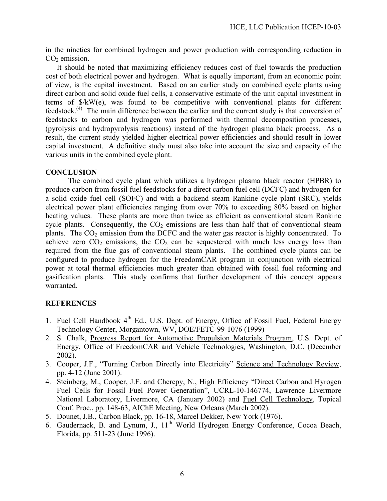in the nineties for combined hydrogen and power production with corresponding reduction in  $CO<sub>2</sub>$  emission.

It should be noted that maximizing efficiency reduces cost of fuel towards the production cost of both electrical power and hydrogen. What is equally important, from an economic point of view, is the capital investment. Based on an earlier study on combined cycle plants using direct carbon and solid oxide fuel cells, a conservative estimate of the unit capital investment in terms of \$/kW(e), was found to be competitive with conventional plants for different feedstock.(4) The main difference between the earlier and the current study is that conversion of feedstocks to carbon and hydrogen was performed with thermal decomposition processes, (pyrolysis and hydropyrolysis reactions) instead of the hydrogen plasma black process. As a result, the current study yielded higher electrical power efficiencies and should result in lower capital investment. A definitive study must also take into account the size and capacity of the various units in the combined cycle plant.

## **CONCLUSION**

The combined cycle plant which utilizes a hydrogen plasma black reactor (HPBR) to produce carbon from fossil fuel feedstocks for a direct carbon fuel cell (DCFC) and hydrogen for a solid oxide fuel cell (SOFC) and with a backend steam Rankine cycle plant (SRC), yields electrical power plant efficiencies ranging from over 70% to exceeding 80% based on higher heating values. These plants are more than twice as efficient as conventional steam Rankine cycle plants. Consequently, the  $CO<sub>2</sub>$  emissions are less than half that of conventional steam plants. The  $CO<sub>2</sub>$  emission from the DCFC and the water gas reactor is highly concentrated. To achieve zero  $CO<sub>2</sub>$  emissions, the  $CO<sub>2</sub>$  can be sequestered with much less energy loss than required from the flue gas of conventional steam plants. The combined cycle plants can be configured to produce hydrogen for the FreedomCAR program in conjunction with electrical power at total thermal efficiencies much greater than obtained with fossil fuel reforming and gasification plants. This study confirms that further development of this concept appears warranted.

## **REFERENCES**

- 1. Fuel Cell Handbook 4<sup>th</sup> Ed., U.S. Dept. of Energy, Office of Fossil Fuel, Federal Energy Technology Center, Morgantown, WV, DOE/FETC-99-1076 (1999)
- 2. S. Chalk, Progress Report for Automotive Propulsion Materials Program, U.S. Dept. of Energy, Office of FreedomCAR and Vehicle Technologies, Washington, D.C. (December 2002).
- 3. Cooper, J.F., "Turning Carbon Directly into Electricity" Science and Technology Review, pp. 4-12 (June 2001).
- 4. Steinberg, M., Cooper, J.F. and Cherepy, N., High Efficiency "Direct Carbon and Hyrogen Fuel Cells for Fossil Fuel Power Generation", UCRL-10-146774, Lawrence Livermore National Laboratory, Livermore, CA (January 2002) and Fuel Cell Technology, Topical Conf. Proc., pp. 148-63, AIChE Meeting, New Orleans (March 2002).
- 5. Dounet, J.B., Carbon Black, pp. 16-18, Marcel Dekker, New York (1976).
- 6. Gaudernack,  $\overline{B}$ . and Lynum, J.,  $11<sup>th</sup>$  World Hydrogen Energy Conference, Cocoa Beach, Florida, pp. 511-23 (June 1996).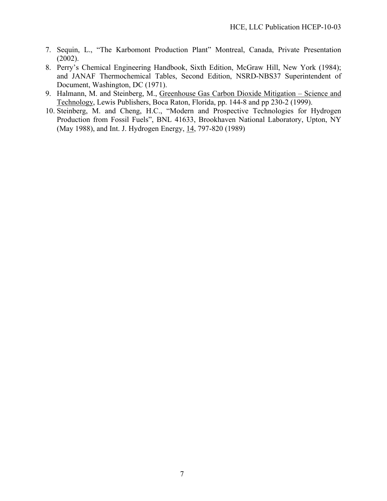- 7. Sequin, L., "The Karbomont Production Plant" Montreal, Canada, Private Presentation (2002).
- 8. Perry's Chemical Engineering Handbook, Sixth Edition, McGraw Hill, New York (1984); and JANAF Thermochemical Tables, Second Edition, NSRD-NBS37 Superintendent of Document, Washington, DC (1971).
- 9. Halmann, M. and Steinberg, M., Greenhouse Gas Carbon Dioxide Mitigation Science and Technology, Lewis Publishers, Boca Raton, Florida, pp. 144-8 and pp 230-2 (1999).
- 10. Steinberg, M. and Cheng, H.C., "Modern and Prospective Technologies for Hydrogen Production from Fossil Fuels", BNL 41633, Brookhaven National Laboratory, Upton, NY (May 1988), and Int. J. Hydrogen Energy, 14, 797-820 (1989)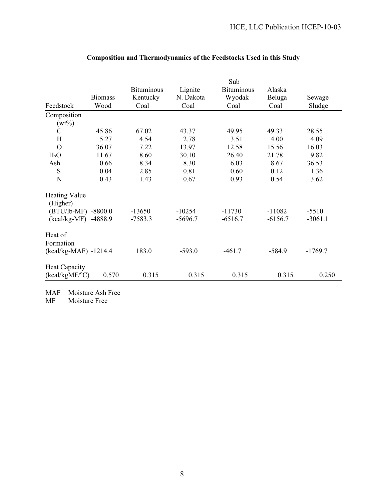|                                  |                | <b>Bituminous</b> | Lignite   | Sub<br><b>Bituminous</b> | Alaska    |           |
|----------------------------------|----------------|-------------------|-----------|--------------------------|-----------|-----------|
|                                  | <b>Biomass</b> | Kentucky          | N. Dakota | Wyodak                   | Beluga    | Sewage    |
| Feedstock                        | Wood           | Coal              | Coal      | Coal                     | Coal      | Sludge    |
| Composition                      |                |                   |           |                          |           |           |
| $(wt\%)$                         |                |                   |           |                          |           |           |
| $\mathcal{C}$                    | 45.86          | 67.02             | 43.37     | 49.95                    | 49.33     | 28.55     |
| H                                | 5.27           | 4.54              | 2.78      | 3.51                     | 4.00      | 4.09      |
| $\overline{O}$                   | 36.07          | 7.22              | 13.97     | 12.58                    | 15.56     | 16.03     |
| $H_2O$                           | 11.67          | 8.60              | 30.10     | 26.40                    | 21.78     | 9.82      |
| Ash                              | 0.66           | 8.34              | 8.30      | 6.03                     | 8.67      | 36.53     |
| S                                | 0.04           | 2.85              | 0.81      | 0.60                     | 0.12      | 1.36      |
| N                                | 0.43           | 1.43              | 0.67      | 0.93                     | 0.54      | 3.62      |
| <b>Heating Value</b><br>(Higher) |                |                   |           |                          |           |           |
| (BTU/lb-MF) -8800.0              |                | $-13650$          | $-10254$  | $-11730$                 | $-11082$  | $-5510$   |
| $(kcal/kg-MF)$                   | -4888.9        | $-7583.3$         | $-5696.7$ | $-6516.7$                | $-6156.7$ | $-3061.1$ |
| Heat of<br>Formation             |                |                   |           |                          |           |           |
| $(kcal/kg-MAF) -1214.4$          |                | 183.0             | $-593.0$  | $-461.7$                 | $-584.9$  | $-1769.7$ |
| <b>Heat Capacity</b>             |                |                   |           |                          |           |           |
| $(kcal/kgMF$ <sup>o</sup> C)     | 0.570          | 0.315             | 0.315     | 0.315                    | 0.315     | 0.250     |

## **Composition and Thermodynamics of the Feedstocks Used in this Study**

MAF Moisture Ash Free<br>MF Moisture Free

Moisture Free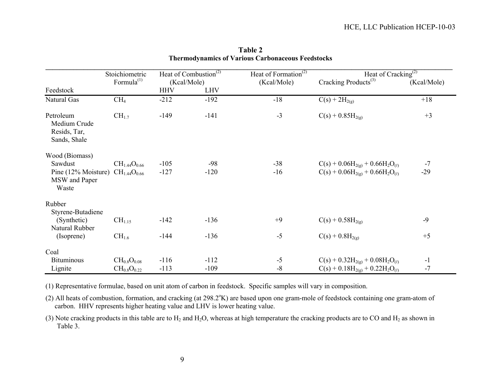|                                                           | Stoichiometric         |             | Heat of Combustion <sup><math>(2)</math></sup> | Heat of Formation <sup>(2)</sup> | Heat of Cracking <sup>(2)</sup>        |             |
|-----------------------------------------------------------|------------------------|-------------|------------------------------------------------|----------------------------------|----------------------------------------|-------------|
|                                                           | Formula <sup>(1)</sup> | (Kcal/Mole) |                                                | (Kcal/Mole)                      | Cracking Products <sup>(3)</sup>       | (Kcal/Mole) |
| Feedstock                                                 |                        | <b>HHV</b>  | <b>LHV</b>                                     |                                  |                                        |             |
| Natural Gas                                               | CH <sub>4</sub>        | $-212$      | $-192$                                         | $-18$                            | $C(s) + 2H_{2(g)}$                     | $+18$       |
| Petroleum<br>Medium Crude<br>Resids, Tar,<br>Sands, Shale | $CH_{1.7}$             | $-149$      | $-141$                                         | $-3$                             | $C(s) + 0.85H_{2(g)}$                  | $+3$        |
| Wood (Biomass)                                            |                        |             |                                                |                                  |                                        |             |
| Sawdust                                                   | $CH_{1.44}O_{0.66}$    | $-105$      | $-98$                                          | $-38$                            | $C(s) + 0.06H_{2(g)} + 0.66H_2O_{(0)}$ | $-7$        |
| Pine (12% Moisture)<br>MSW and Paper<br>Waste             | $CH_{1.44}O_{0.66}$    | $-127$      | $-120$                                         | $-16$                            | $C(s) + 0.06H_{2(g)} + 0.66H_2O_{(0)}$ | $-29$       |
| Rubber                                                    |                        |             |                                                |                                  |                                        |             |
| Styrene-Butadiene<br>(Synthetic)<br>Natural Rubber        | CH <sub>1.15</sub>     | $-142$      | $-136$                                         | $+9$                             | $C(s) + 0.58H_{2(g)}$                  | $-9$        |
| (Isoprene)                                                | $CH_{1.6}$             | $-144$      | $-136$                                         | $-5$                             | $C(s) + 0.8H_{2(g)}$                   | $+5$        |
| Coal                                                      |                        |             |                                                |                                  |                                        |             |
| <b>Bituminous</b>                                         | $CH_{0.8}O_{0.08}$     | $-116$      | $-112$                                         | $-5$                             | $C(s) + 0.32H_{2(g)} + 0.08H_2O_{(l)}$ | $-1$        |
| Lignite                                                   | $CH_{0.8}O_{0.22}$     | $-113$      | $-109$                                         | $-8$                             | $C(s) + 0.18H_{2(g)} + 0.22H_2O_{(0)}$ | $-7$        |

**Table 2 Thermodynamics of Various Carbonaceous Feedstocks**

(1) Representative formulae, based on unit atom of carbon in feedstock. Specific samples will vary in composition.

(2) All heats of combustion, formation, and cracking (at 298.2°K) are based upon one gram-mole of feedstock containing one gram-atom of carbon. HHV represents higher heating value and LHV is lower heating value.

(3) Note cracking products in this table are to  $H_2$  and  $H_2O$ , whereas at high temperature the cracking products are to CO and  $H_2$  as shown in Table 3.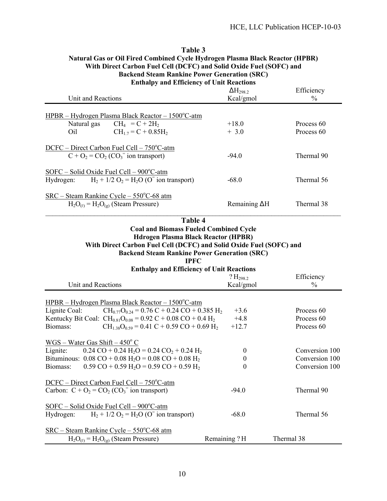| With Direct Carbon Fuel Cell (DCFC) and Solid Oxide Fuel (SOFC) and<br><b>Backend Steam Rankine Power Generation (SRC)</b> |                      |            |  |  |  |  |
|----------------------------------------------------------------------------------------------------------------------------|----------------------|------------|--|--|--|--|
| <b>Enthalpy and Efficiency of Unit Reactions</b><br>$\Delta H_{298,2}$<br>Efficiency                                       |                      |            |  |  |  |  |
| Unit and Reactions                                                                                                         | Kcal/gmol            | $\%$       |  |  |  |  |
| $HPBR - Hydrogen Plasma Black Reactor - 1500°C-atm$                                                                        |                      |            |  |  |  |  |
| Natural gas<br>$CH_4 = C + 2H_2$                                                                                           | $+18.0$              | Process 60 |  |  |  |  |
| $CH_{17} = C + 0.85H_2$<br>Oil                                                                                             | $+3.0$               | Process 60 |  |  |  |  |
| DCFC – Direct Carbon Fuel Cell – 750°C-atm                                                                                 |                      |            |  |  |  |  |
| $C + O_2 = CO_2 (CO_3$ ion transport)                                                                                      | $-94.0$              | Thermal 90 |  |  |  |  |
| $SOFC - Solid Oxide Feel Cell - 900°C - atm$                                                                               |                      |            |  |  |  |  |
| Hydrogen: $H_2 + 1/2 O_2 = H_2 O (O^2)$ ion transport)                                                                     | $-68.0$              | Thermal 56 |  |  |  |  |
| $SRC - Steam Rankine Cycle - 550°C - 68 atm$                                                                               |                      |            |  |  |  |  |
| $H_2O_{(0)} = H_2O_{(g)}$ (Steam Pressure)                                                                                 | Remaining $\Delta H$ | Thermal 38 |  |  |  |  |
|                                                                                                                            |                      |            |  |  |  |  |

# **Table 3 Natural Gas or Oil Fired Combined Cycle Hydrogen Plasma Black Reactor (HPBR) With Direct Carbon Fuel Cell (DCFC) and Solid Oxide Fuel (SOFC) and**

| Table 4                                                             |
|---------------------------------------------------------------------|
| <b>Coal and Biomass Fueled Combined Cycle</b>                       |
| Hdrogen Plasma Black Reactor (HPBR)                                 |
| With Direct Carbon Fuel Cell (DCFC) and Solid Oxide Fuel (SOFC) and |
| <b>Backend Steam Rankine Power Generation (SRC)</b>                 |
|                                                                     |

|                                                  | <b>IPFC</b>                                                                                   |                  |                |  |  |  |  |  |
|--------------------------------------------------|-----------------------------------------------------------------------------------------------|------------------|----------------|--|--|--|--|--|
| <b>Enthalpy and Efficiency of Unit Reactions</b> |                                                                                               |                  |                |  |  |  |  |  |
|                                                  |                                                                                               | $?H_{2982}$      | Efficiency     |  |  |  |  |  |
| Unit and Reactions                               |                                                                                               | Kcal/gmol        | $\frac{0}{0}$  |  |  |  |  |  |
|                                                  | $HPBR - Hydrogen Plasma Black Reactor - 1500°C-atm$                                           |                  |                |  |  |  |  |  |
| Lignite Coal:                                    | $CH_{0.77}O_{0.24} = 0.76 \text{ C} + 0.24 \text{ CO} + 0.385 \text{ H}$                      | $+3.6$           | Process 60     |  |  |  |  |  |
|                                                  | Kentucky Bit Coal: $CH_{0.81}O_{0.08} = 0.92 C + 0.08 CO + 0.4 H_2$                           | $+4.8$           | Process 60     |  |  |  |  |  |
| Biomass:                                         | $CH_{1,38}O_{0,59} = 0.41 C + 0.59 CO + 0.69 H_2$                                             | $+12.7$          | Process 60     |  |  |  |  |  |
| $WGS - Water Gas Shift - 450^{\circ} C$          |                                                                                               |                  |                |  |  |  |  |  |
| Lignite:                                         | $0.24 \text{ CO} + 0.24 \text{ H}_2\text{O} = 0.24 \text{ CO}_2 + 0.24 \text{ H}_2$           | $\boldsymbol{0}$ | Conversion 100 |  |  |  |  |  |
|                                                  | Bituminous: $0.08 \text{ CO} + 0.08 \text{ H}_2\text{O} = 0.08 \text{ CO} + 0.08 \text{ H}_2$ | $\theta$         | Conversion 100 |  |  |  |  |  |
| Biomass:                                         | $0.59 \text{ CO} + 0.59 \text{ H}_2\text{O} = 0.59 \text{ CO} + 0.59 \text{ H}_2$             | $\overline{0}$   | Conversion 100 |  |  |  |  |  |
|                                                  | $DCFC - Direct Carbon$ Fuel Cell $-750^{\circ}$ C-atm                                         |                  |                |  |  |  |  |  |
|                                                  | Carbon: $C + O_2 = CO_2 (CO_3$ <sup>=</sup> ion transport)                                    | $-94.0$          | Thermal 90     |  |  |  |  |  |
|                                                  | $SOFC - Solid Oxide Feel Cell - 900°C - atm$                                                  |                  |                |  |  |  |  |  |
| Hydrogen:                                        | $H_2 + 1/2 O_2 = H_2O(O^2)$ ion transport)                                                    | $-68.0$          | Thermal 56     |  |  |  |  |  |
|                                                  | $SRC - Steam$ Rankine Cycle – 550 $^{\circ}$ C-68 atm                                         |                  |                |  |  |  |  |  |
|                                                  | $H_2O_{(0)} = H_2O_{(g)}$ (Steam Pressure)                                                    | Remaining? H     | Thermal 38     |  |  |  |  |  |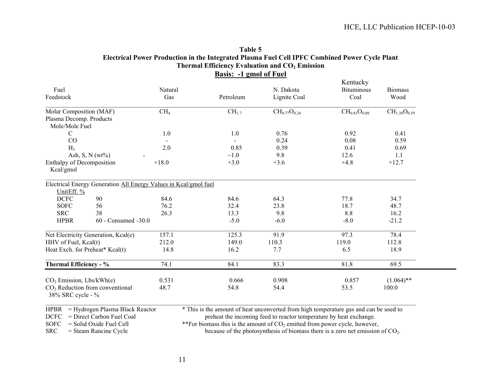| Fuel<br>Feedstock                         |                                                                  | Natural<br>Gas  | Petroleum         | N. Dakota<br>Lignite Coal | Kentucky<br><b>Bituminous</b><br>Coal | <b>Biomass</b><br>Wood |
|-------------------------------------------|------------------------------------------------------------------|-----------------|-------------------|---------------------------|---------------------------------------|------------------------|
|                                           |                                                                  |                 |                   |                           |                                       |                        |
| Molar Composition (MAF)                   |                                                                  | CH <sub>4</sub> | CH <sub>1.7</sub> | $CH_{0.77}O_{0.24}$       | $CH_{0.81}O_{0.08}$                   | $CH_{1.38}O_{0.59}$    |
| Plasma Decomp. Products<br>Mole/Mole Fuel |                                                                  |                 |                   |                           |                                       |                        |
| $\mathcal{C}$                             |                                                                  | 1.0             | 1.0               | 0.76                      | 0.92                                  | 0.41                   |
| CO                                        |                                                                  |                 |                   | 0.24                      | 0.08                                  | 0.59                   |
| H <sub>2</sub>                            |                                                                  | 2.0             | 0.85              | 0.39                      | 0.41                                  | 0.69                   |
|                                           | Ash, S, N $(wt\%)$                                               |                 | $\sim1.0$         | 9.8                       | 12.6                                  | 1.1                    |
| Enthalpy of Decomposition                 |                                                                  | $+18.0$         | $+3.0$            | $+3.6$                    | $+4.8$                                | $+12.7$                |
| Kcal/gmol                                 |                                                                  |                 |                   |                           |                                       |                        |
|                                           | Electrical Energy Generation All Energy Values in Kcal/gmol fuel |                 |                   |                           |                                       |                        |
| UnitEff. %                                |                                                                  |                 |                   |                           |                                       |                        |
| <b>DCFC</b>                               | 90                                                               | 84.6            | 84.6              | 64.3                      | 77.8                                  | 34.7                   |
| <b>SOFC</b>                               | 56                                                               | 76.2            | 32.4              | 23.8                      | 18.7                                  | 48.7                   |
| <b>SRC</b>                                | 38                                                               | 26.3            | 13.3              | 9.8                       | 8.8                                   | 16.2                   |
| <b>HPBR</b>                               | $60$ - Consumed $-30.0$                                          |                 | $-5.0$            | $-6.0$                    | $-8.0$                                | $-21.2$                |
|                                           | Net Electricity Generation, Kcal(e)                              | 157.1           | 125.3             | 91.9                      | 97.3                                  | 78.4                   |
| HHV of Fuel, Kcal(t)                      |                                                                  | 212.0           | 149.0             | 110.3                     | 119.0                                 | 112.8                  |
|                                           | Heat Exch. for Preheat* Kcal(t)                                  | 14.8            | 16.2              | 7.7                       | 6.5                                   | 18.9                   |
| Thermal Efficiency - %                    |                                                                  | 74.1            | 84.1              | 83.3                      | 81.8                                  | 69.5                   |
|                                           |                                                                  | 0.531           | 0.666             | 0.908                     | 0.857                                 | $(1.064)$ **           |
| $CO2$ Emission, Lbs/kWh(e)                | $CO2$ Reduction from conventional                                | 48.7            | 54.8              | 54.4                      | 53.5                                  | 100.0                  |
| 38% SRC cycle - %                         |                                                                  |                 |                   |                           |                                       |                        |

**Table 5 Electrical Power Production in the Integrated Plasma Fuel Cell IPFC Combined Power Cycle Plant Thermal Efficiency Evaluation and CO2 Emission Basis: -1 gmol of Fuel**

 $HPR = Hydrogen Plasma Black Reactor$  \* This is the amount of heat unconverted from high temperature gas and can be used to DCFC = Direct Carbon Fuel Coal preheat the incoming feed to reactor temperature by heat exchange.

 $S$ OFC = Solid Oxide Fuel Cell \*\*For biomass this is the amount of CO<sub>2</sub> emitted from power cycle, however,<br>SRC = Steam Rancine Cycle because of the photosynthesis of biomass there is a zero net emission

because of the photosynthesis of biomass there is a zero net emission of  $CO<sub>2</sub>$ .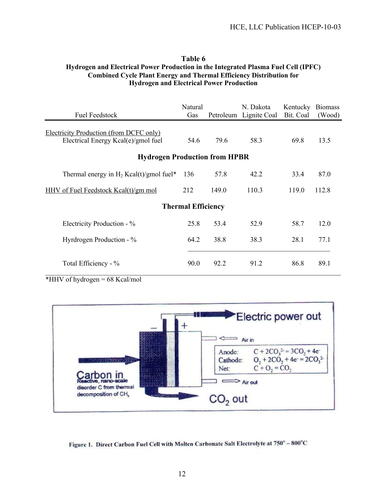#### **Table 6 Hydrogen and Electrical Power Production in the Integrated Plasma Fuel Cell (IPFC) Combined Cycle Plant Energy and Thermal Efficiency Distribution for Hydrogen and Electrical Power Production**

| <b>Fuel Feedstock</b>                                                          | Natural<br>Gas |       | N. Dakota<br>Petroleum Lignite Coal | Kentucky<br>Bit. Coal | <b>Biomass</b><br>(Wood) |  |  |  |  |  |
|--------------------------------------------------------------------------------|----------------|-------|-------------------------------------|-----------------------|--------------------------|--|--|--|--|--|
| Electricity Production (from DCFC only)<br>Electrical Energy Kcal(e)/gmol fuel | 54.6           | 79.6  | 58.3                                | 69.8                  | 13.5                     |  |  |  |  |  |
| <b>Hydrogen Production from HPBR</b>                                           |                |       |                                     |                       |                          |  |  |  |  |  |
| Thermal energy in $H_2$ Kcal(t)/gmol fuel*                                     | 136            | 57.8  | 42.2                                | 33.4                  | 87.0                     |  |  |  |  |  |
| HHV of Fuel Feedstock Kcal(t)/gm mol                                           | 212            | 149.0 | 110.3                               | 119.0                 | 112.8                    |  |  |  |  |  |
| <b>Thermal Efficiency</b>                                                      |                |       |                                     |                       |                          |  |  |  |  |  |
| Electricity Production - %                                                     | 25.8           | 53.4  | 52.9                                | 58.7                  | 12.0                     |  |  |  |  |  |
| Hyrdrogen Production - %                                                       | 64.2           | 38.8  | 38.3                                | 28.1                  | 77.1                     |  |  |  |  |  |
| Total Efficiency - %                                                           | 90.0           | 92.2  | 91.2                                | 86.8                  | 89.1                     |  |  |  |  |  |

 $*$ HHV of hydrogen = 68 Kcal/mol



Figure 1. Direct Carbon Fuel Cell with Molten Carbonate Salt Electrolyte at 750° - 800°C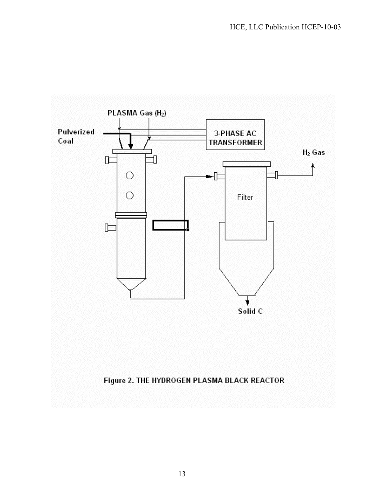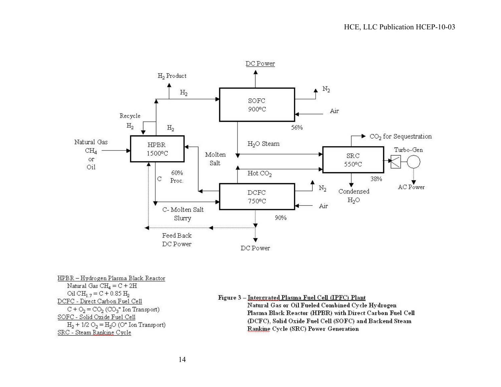

HPBR - Hydrogen Plasma Black Reactor Natural Gas  $CH_4 = C + 2H$  $\text{Li} \text{CH}_{12} = \text{C} + 0.85 \text{ H}_{2}$ DCFC - Direct Carbon Fuel Cell  $C + O_2 = CO_2$  (CO<sub>3</sub><sup>=</sup> Ion Transport) SOFC - Solid Oxide Fuel Cell  $H_2$  + 1/2  $O_2 = H_2O$  (O<sup>=</sup> Ion Transport) SRC - Steam Rankine Cycle

#### Figure 3 - Intergrated Plasma Fuel Cell (IPFC) Plant

Natural Gas or Oil Fueled Combined Cycle Hydrogen Plasma Black Reactor (HPBR) with Direct Carbon Fuel Cell (DCFC), Solid Oxide Fuel Cell (SOFC) and Backend Steam Rankine Cycle (SRC) Power Generation